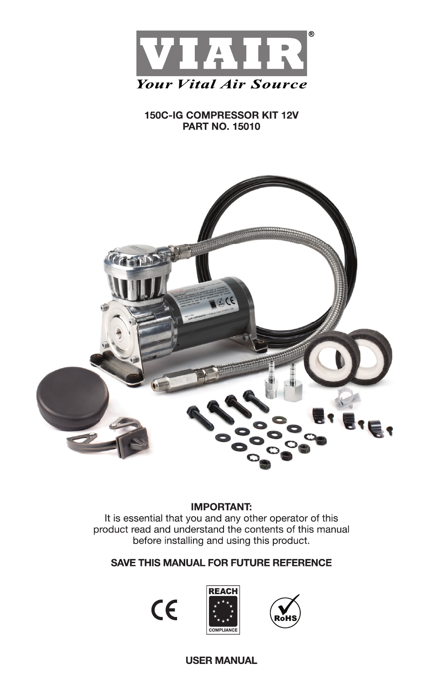

# 150C-IG COMPRESSOR KIT 12V **PART NO. 15010**



## **IMPORTANT:**

It is essential that you and any other operator of this product read and understand the contents of this manual before installing and using this product.

# **SAVE THIS MANUAL FOR FUTURE REFERENCE**

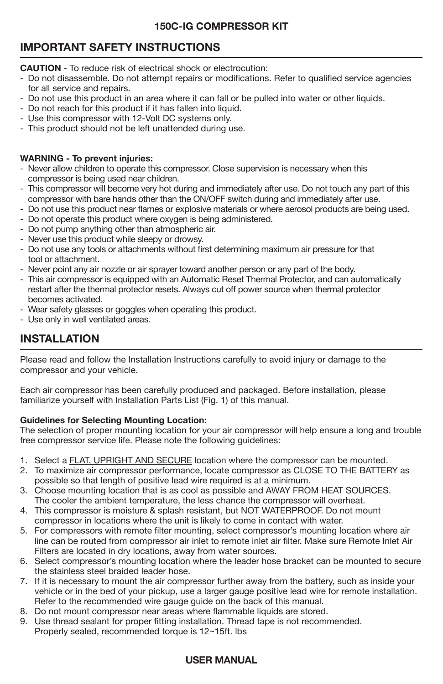# **IMPORTANT SAFETY INSTRUCTIONS**

**CAUTION** - To reduce risk of electrical shock or electrocution:

- Do not disassemble. Do not attempt repairs or modifications. Refer to qualified service agencies for all service and repairs.
- Do not use this product in an area where it can fall or be pulled into water or other liquids.
- Do not reach for this product if it has fallen into liquid.
- Use this compressor with 12-Volt DC systems only.
- This product should not be left unattended during use.

### **WARNING - To prevent injuries:**

- Never allow children to operate this compressor. Close supervision is necessary when this compressor is being used near children.
- This compressor will become very hot during and immediately after use. Do not touch any part of this compressor with bare hands other than the ON/OFF switch during and immediately after use.
- Do not use this product near flames or explosive materials or where aerosol products are being used.
- Do not operate this product where oxygen is being administered.
- Do not pump anything other than atmospheric air.
- Never use this product while sleepy or drowsy.
- Do not use any tools or attachments without first determining maximum air pressure for that tool or attachment.
- Never point any air nozzle or air sprayer toward another person or any part of the body.
- This air compressor is equipped with an Automatic Reset Thermal Protector, and can automatically restart after the thermal protector resets. Always cut off power source when thermal protector becomes activated.
- Wear safety glasses or goggles when operating this product.
- Use only in well ventilated areas.

# **INSTALLATION**

Please read and follow the Installation Instructions carefully to avoid injury or damage to the compressor and your vehicle.

Each air compressor has been carefully produced and packaged. Before installation, please familiarize yourself with Installation Parts List (Fig. 1) of this manual.

## **Guidelines for Selecting Mounting Location:**

The selection of proper mounting location for your air compressor will help ensure a long and trouble free compressor service life. Please note the following guidelines:

- 1. Select a FLAT, UPRIGHT AND SECURE location where the compressor can be mounted.
- 2. To maximize air compressor performance, locate compressor as CLOSE TO THE BATTERY as possible so that length of positive lead wire required is at a minimum.
- 3. Choose mounting location that is as cool as possible and AWAY FROM HEAT SOURCES. The cooler the ambient temperature, the less chance the compressor will overheat.
- 4. This compressor is moisture & splash resistant, but NOT WATERPROOF. Do not mount compressor in locations where the unit is likely to come in contact with water.
- 5. For compressors with remote filter mounting, select compressor's mounting location where air line can be routed from compressor air inlet to remote inlet air filter. Make sure Remote Inlet Air Filters are located in dry locations, away from water sources.
- 6. Select compressor's mounting location where the leader hose bracket can be mounted to secure the stainless steel braided leader hose.
- 7. If it is necessary to mount the air compressor further away from the battery, such as inside your vehicle or in the bed of your pickup, use a larger gauge positive lead wire for remote installation. Refer to the recommended wire gauge guide on the back of this manual.
- 8. Do not mount compressor near areas where flammable liquids are stored.
- 9. Use thread sealant for proper fitting installation. Thread tape is not recommended. Properly sealed, recommended torque is 12~15ft. lbs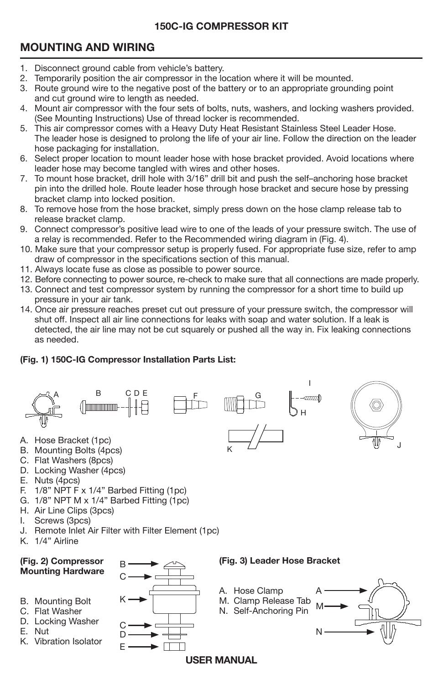# **MOUNTING AND WIRING**

- 1. Disconnect ground cable from vehicle's battery.
- 2. Temporarily position the air compressor in the location where it will be mounted.
- 3. Route ground wire to the negative post of the battery or to an appropriate grounding point and cut ground wire to length as needed.
- 4. Mount air compressor with the four sets of bolts, nuts, washers, and locking washers provided. (See Mounting Instructions) Use of thread locker is recommended.
- 5. This air compressor comes with a Heavy Duty Heat Resistant Stainless Steel Leader Hose. The leader hose is designed to prolong the life of your air line. Follow the direction on the leader hose packaging for installation.
- 6. Select proper location to mount leader hose with hose bracket provided. Avoid locations where leader hose may become tangled with wires and other hoses.
- 7. To mount hose bracket, drill hole with 3/16" drill bit and push the self–anchoring hose bracket pin into the drilled hole. Route leader hose through hose bracket and secure hose by pressing bracket clamp into locked position.
- 8. To remove hose from the hose bracket, simply press down on the hose clamp release tab to release bracket clamp.
- 9. Connect compressor's positive lead wire to one of the leads of your pressure switch. The use of a relay is recommended. Refer to the Recommended wiring diagram in (Fig. 4).
- 10. Make sure that your compressor setup is properly fused. For appropriate fuse size, refer to amp draw of compressor in the specifications section of this manual.
- 11. Always locate fuse as close as possible to power source.
- 12. Before connecting to power source, re-check to make sure that all connections are made properly.
- 13. Connect and test compressor system by running the compressor for a short time to build up pressure in your air tank.
- 14. Once air pressure reaches preset cut out pressure of your pressure switch, the compressor will shut off. Inspect all air line connections for leaks with soap and water solution. If a leak is detected, the air line may not be cut squarely or pushed all the way in. Fix leaking connections as needed.

J

## **(Fig. 1) 150C-IG Compressor Installation Parts List:**



- C. Flat Washers (8pcs)
- D. Locking Washer (4pcs)
- E. Nuts (4pcs)
- F. 1/8" NPT F x 1/4" Barbed Fitting (1pc)
- G. 1/8" NPT M x 1/4" Barbed Fitting (1pc)
- H. Air Line Clips (3pcs)
- I. Screws (3pcs)
- J. Remote Inlet Air Filter with Filter Element (1pc)
- K. 1/4" Airline

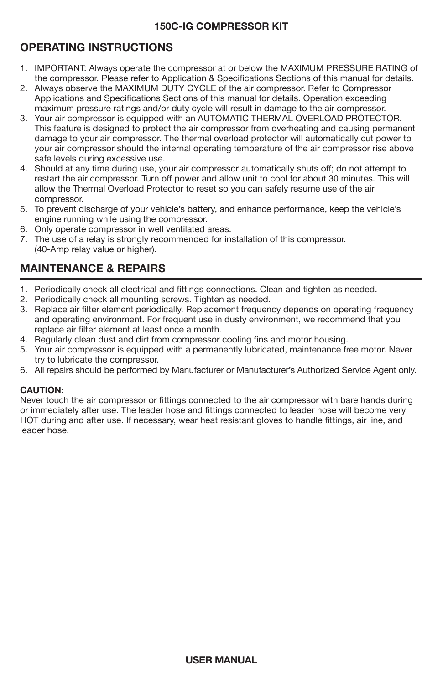# **OPERATING INSTRUCTIONS**

- 1. IMPORTANT: Always operate the compressor at or below the MAXIMUM PRESSURE RATING of the compressor. Please refer to Application & Specifications Sections of this manual for details.
- 2. Always observe the MAXIMUM DUTY CYCLE of the air compressor. Refer to Compressor Applications and Specifications Sections of this manual for details. Operation exceeding maximum pressure ratings and/or duty cycle will result in damage to the air compressor.
- 3. Your air compressor is equipped with an AUTOMATIC THERMAL OVERLOAD PROTECTOR. This feature is designed to protect the air compressor from overheating and causing permanent damage to your air compressor. The thermal overload protector will automatically cut power to your air compressor should the internal operating temperature of the air compressor rise above safe levels during excessive use.
- 4. Should at any time during use, your air compressor automatically shuts off; do not attempt to restart the air compressor. Turn off power and allow unit to cool for about 30 minutes. This will allow the Thermal Overload Protector to reset so you can safely resume use of the air compressor.
- 5. To prevent discharge of your vehicle's battery, and enhance performance, keep the vehicle's engine running while using the compressor.
- 6. Only operate compressor in well ventilated areas.
- 7. The use of a relay is strongly recommended for installation of this compressor. (40-Amp relay value or higher).

# **MAINTENANCE & REPAIRS**

- 1. Periodically check all electrical and fittings connections. Clean and tighten as needed.
- 2. Periodically check all mounting screws. Tighten as needed.
- 3. Replace air filter element periodically. Replacement frequency depends on operating frequency and operating environment. For frequent use in dusty environment, we recommend that you replace air filter element at least once a month.
- 4. Regularly clean dust and dirt from compressor cooling fins and motor housing.
- 5. Your air compressor is equipped with a permanently lubricated, maintenance free motor. Never try to lubricate the compressor.
- 6. All repairs should be performed by Manufacturer or Manufacturer's Authorized Service Agent only.

## **CAUTION:**

Never touch the air compressor or fittings connected to the air compressor with bare hands during or immediately after use. The leader hose and fittings connected to leader hose will become very HOT during and after use. If necessary, wear heat resistant gloves to handle fittings, air line, and leader hose.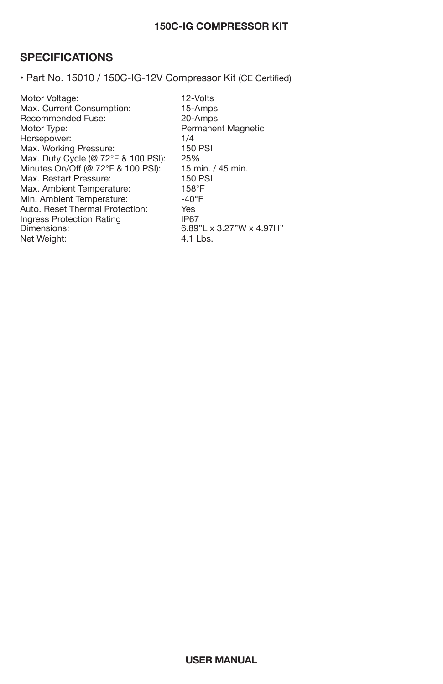# **SPECIFICATIONS**

• Part No. 15010 / 150C-IG-12V Compressor Kit (CE Certified)

Motor Voltage: 12-Volts<br>Max. Current Consumption: 15-Amps Max. Current Consumption: 15-Amps<br>Recommended Fuse: 20-Amps Recommended Fuse:<br>Motor Type: Permanent Magnetic<br>1/4 Horsepower: 1/4<br>
Max. Working Pressure: 150 PSI Max. Working Pressure: 150 PM<br>Max. Duty Cycle (@ 72°F & 100 PSI): 25% Max. Duty Cycle (@ 72°F & 100 PSI): 25%<br>Minutes On/Off (@ 72°F & 100 PSI): 15 min. / 45 min. Minutes On/Off (@ 72°F & 100 PSI): 15 min.<br>Max. Restart Pressure: 150 PSI Max. Restart Pressure: 150 P:<br>Max. Ambient Temperature: 158°F Max. Ambient Temperature: 158°F<br>Min. Ambient Temperature: 40°F Min. Ambient Temperature:  $-40^{\circ}$ <br>Auto. Reset Thermal Protection: Yes Auto. Reset Thermal Protection: Yes<br>
Ingress Protection Rating (P67) Ingress Protection Rating<br>Dimensions: 6.89"L x 3.27"W x 4.97H"<br>4.1 Lbs. Net Weight: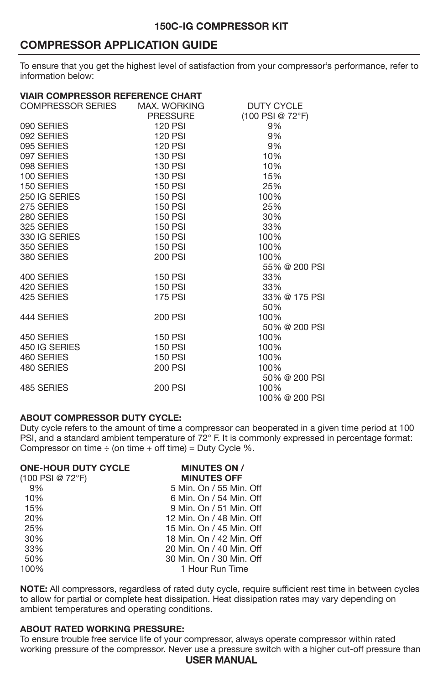# **COMPRESSOR APPLICATION GUIDE**

To ensure that you get the highest level of satisfaction from your compressor's performance, refer to information below:

### **VIAIR COMPRESSOR REFERENCE CHART**

| COMPRESSOR SERIES MAX. WORKING                                                                                                |                               | <b>DUTY CYCLE</b> |
|-------------------------------------------------------------------------------------------------------------------------------|-------------------------------|-------------------|
|                                                                                                                               | <b>PRESSURE</b>               | (100 PSI @ 72°F)  |
|                                                                                                                               | 120 PSI<br>120 PSI<br>100 PSI | 9%                |
|                                                                                                                               |                               | 9%                |
|                                                                                                                               |                               | 9%                |
|                                                                                                                               | 130 PSI                       | $10\%$            |
|                                                                                                                               | 130 PSI                       | 10%               |
| 090 SERIES<br>092 SERIES<br>095 SERIES<br>097 SERIES<br>098 SERIES<br>100 SERIES<br>150 SERIES<br>250 IG SERIES<br>250 GERIES | 130 PSI                       | 15%               |
|                                                                                                                               | 150 PSI                       | 25%               |
|                                                                                                                               | 150 PSI                       | 100%              |
|                                                                                                                               | 150 PSI                       | 25%               |
|                                                                                                                               | 150 PSI                       | 30%               |
| 250 IG SERIES<br>275 SERIES<br>280 SERIES<br>325 SERIES<br>330 IG SERIES<br>100 SERIES                                        | 150 PSI                       | 33%               |
|                                                                                                                               | 150 PSI                       | 100%              |
|                                                                                                                               | 150 PSI                       | 100%              |
| 380 SERIES                                                                                                                    | 200 PSI                       | 100%              |
|                                                                                                                               |                               | 55% @ 200 PSI     |
| 400 SERIES                                                                                                                    | 150 PSI                       | 33%               |
| 420 SERIES                                                                                                                    | 150 PSI                       | 33%               |
| 425 SERIES                                                                                                                    | <b>175 PSI</b>                | 33% @ 175 PSI     |
|                                                                                                                               |                               | 50%               |
| 444 SERIES                                                                                                                    | 200 PSI                       | 100%              |
|                                                                                                                               |                               | 50% @ 200 PSI     |
| 450 SERIES                                                                                                                    | 150 PSI                       | 100%              |
| 450 IG SERIES<br>460 SERIES                                                                                                   | 150 PSI                       | 100%              |
|                                                                                                                               | 150 PSI                       | 100%              |
| 480 SERIES                                                                                                                    | 200 PSI                       | 100%              |
|                                                                                                                               |                               | 50% @ 200 PSI     |
| 485 SERIES                                                                                                                    | 200 PSI                       | 100%              |
|                                                                                                                               |                               | 100% @ 200 PSI    |

#### **ABOUT COMPRESSOR DUTY CYCLE:**

Duty cycle refers to the amount of time a compressor can be
operated in a given time period at 100 PSI, and a standard ambient temperature of 72° F. It is commonly expressed in percentage format: Compressor on time  $\div$  (on time  $+$  off time) = Duty Cycle %.

| <b>MINUTES ON /</b>      |
|--------------------------|
| <b>MINUTES OFF</b>       |
| 5 Min. On / 55 Min. Off  |
| 6 Min. On / 54 Min. Off  |
| 9 Min. On / 51 Min. Off  |
| 12 Min. On / 48 Min. Off |
| 15 Min. On / 45 Min. Off |
| 18 Min. On / 42 Min. Off |
| 20 Min. On / 40 Min. Off |
| 30 Min. On / 30 Min. Off |
| 1 Hour Run Time          |
|                          |

**NOTE:** All compressors, regardless of rated duty cycle, require sufficient rest time in between cycles to allow for partial or complete heat dissipation. Heat dissipation rates may vary depending on ambient temperatures and operating conditions.

## **ABOUT RATED WORKING PRESSURE:**

To ensure trouble free service life of your compressor, always operate compressor within rated working pressure of the compressor. Never use a pressure switch with a higher cut-off pressure than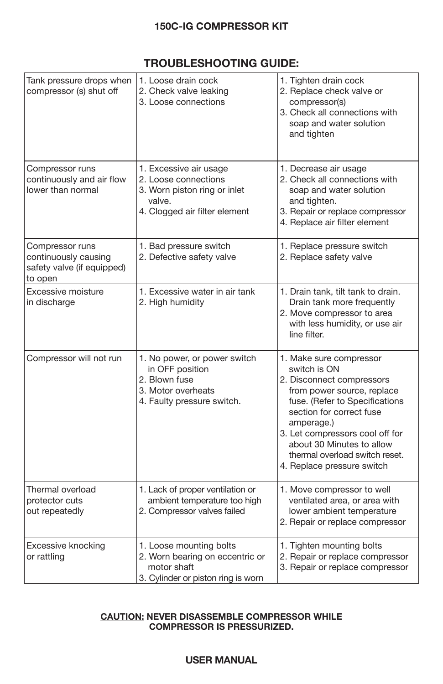# **TROUBLESHOOTING GUIDE:**

| Tank pressure drops when<br>compressor (s) shut off                              | 1. Loose drain cock<br>2. Check valve leaking<br>3. Loose connections                                                     | 1. Tighten drain cock<br>2. Replace check valve or<br>compressor(s)<br>3. Check all connections with<br>soap and water solution<br>and tighten                                                                                                                                                                 |  |
|----------------------------------------------------------------------------------|---------------------------------------------------------------------------------------------------------------------------|----------------------------------------------------------------------------------------------------------------------------------------------------------------------------------------------------------------------------------------------------------------------------------------------------------------|--|
| Compressor runs<br>continuously and air flow<br>lower than normal                | 1. Excessive air usage<br>2. Loose connections<br>3. Worn piston ring or inlet<br>valve.<br>4. Clogged air filter element | 1. Decrease air usage<br>2. Check all connections with<br>soap and water solution<br>and tighten.<br>3. Repair or replace compressor<br>4. Replace air filter element                                                                                                                                          |  |
| Compressor runs<br>continuously causing<br>safety valve (if equipped)<br>to open | 1. Bad pressure switch<br>2. Defective safety valve                                                                       | 1. Replace pressure switch<br>2. Replace safety valve                                                                                                                                                                                                                                                          |  |
| Excessive moisture<br>in discharge                                               | 1. Excessive water in air tank<br>2. High humidity                                                                        | 1. Drain tank, tilt tank to drain.<br>Drain tank more frequently<br>2. Move compressor to area<br>with less humidity, or use air<br>line filter.                                                                                                                                                               |  |
| Compressor will not run                                                          | 1. No power, or power switch<br>in OFF position<br>2. Blown fuse<br>3. Motor overheats<br>4. Faulty pressure switch.      | 1. Make sure compressor<br>switch is ON<br>2. Disconnect compressors<br>from power source, replace<br>fuse. (Refer to Specifications<br>section for correct fuse<br>amperage.)<br>3. Let compressors cool off for<br>about 30 Minutes to allow<br>thermal overload switch reset.<br>4. Replace pressure switch |  |
| Thermal overload<br>protector cuts<br>out repeatedly                             | 1. Lack of proper ventilation or<br>ambient temperature too high<br>2. Compressor valves failed                           | 1. Move compressor to well<br>ventilated area, or area with<br>lower ambient temperature<br>2. Repair or replace compressor                                                                                                                                                                                    |  |
| Excessive knocking<br>or rattling                                                | 1. Loose mounting bolts<br>2. Worn bearing on eccentric or<br>motor shaft<br>3. Cylinder or piston ring is worn           | 1. Tighten mounting bolts<br>2. Repair or replace compressor<br>3. Repair or replace compressor                                                                                                                                                                                                                |  |

### **CAUTION: NEVER DISASSEMBLE COMPRESSOR WHILE COMPRESSOR IS PRESSURIZED.**